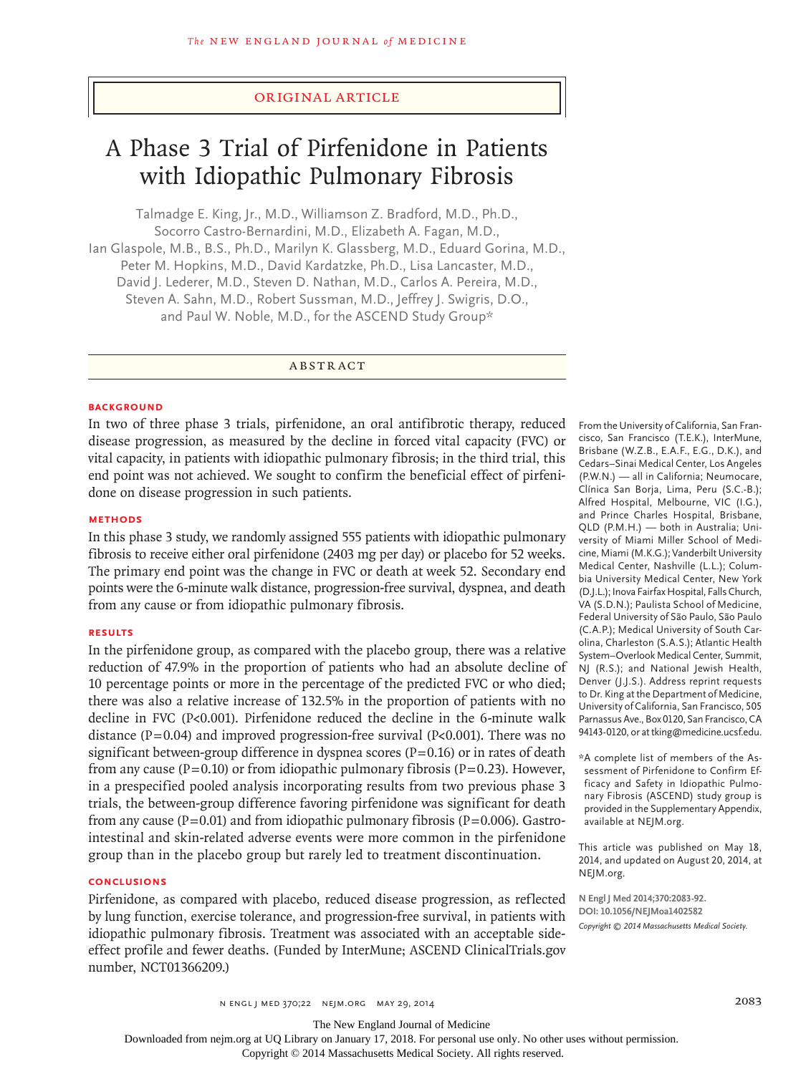## original article

# A Phase 3 Trial of Pirfenidone in Patients with Idiopathic Pulmonary Fibrosis

Talmadge E. King, Jr., M.D., Williamson Z. Bradford, M.D., Ph.D., Socorro Castro-Bernardini, M.D., Elizabeth A. Fagan, M.D., Ian Glaspole, M.B., B.S., Ph.D., Marilyn K. Glassberg, M.D., Eduard Gorina, M.D., Peter M. Hopkins, M.D., David Kardatzke, Ph.D., Lisa Lancaster, M.D., David J. Lederer, M.D., Steven D. Nathan, M.D., Carlos A. Pereira, M.D., Steven A. Sahn, M.D., Robert Sussman, M.D., Jeffrey J. Swigris, D.O., and Paul W. Noble, M.D., for the ASCEND Study Group\*

**ABSTRACT** 

#### **BACKGROUND**

In two of three phase 3 trials, pirfenidone, an oral antifibrotic therapy, reduced disease progression, as measured by the decline in forced vital capacity (FVC) or vital capacity, in patients with idiopathic pulmonary fibrosis; in the third trial, this end point was not achieved. We sought to confirm the beneficial effect of pirfenidone on disease progression in such patients.

### **Methods**

In this phase 3 study, we randomly assigned 555 patients with idiopathic pulmonary fibrosis to receive either oral pirfenidone (2403 mg per day) or placebo for 52 weeks. The primary end point was the change in FVC or death at week 52. Secondary end points were the 6-minute walk distance, progression-free survival, dyspnea, and death from any cause or from idiopathic pulmonary fibrosis.

#### **Results**

In the pirfenidone group, as compared with the placebo group, there was a relative reduction of 47.9% in the proportion of patients who had an absolute decline of 10 percentage points or more in the percentage of the predicted FVC or who died; there was also a relative increase of 132.5% in the proportion of patients with no decline in FVC (P<0.001). Pirfenidone reduced the decline in the 6-minute walk distance (P=0.04) and improved progression-free survival (P<0.001). There was no significant between-group difference in dyspnea scores ( $P=0.16$ ) or in rates of death from any cause ( $P=0.10$ ) or from idiopathic pulmonary fibrosis ( $P=0.23$ ). However, in a prespecified pooled analysis incorporating results from two previous phase 3 trials, the between-group difference favoring pirfenidone was significant for death from any cause ( $P=0.01$ ) and from idiopathic pulmonary fibrosis ( $P=0.006$ ). Gastrointestinal and skin-related adverse events were more common in the pirfenidone group than in the placebo group but rarely led to treatment discontinuation.

### **Conclusions**

Pirfenidone, as compared with placebo, reduced disease progression, as reflected by lung function, exercise tolerance, and progression-free survival, in patients with idiopathic pulmonary fibrosis. Treatment was associated with an acceptable sideeffect profile and fewer deaths. (Funded by InterMune; ASCEND ClinicalTrials.gov number, NCT01366209.)

From the University of California, San Francisco, San Francisco (T.E.K.), InterMune, Brisbane (W.Z.B., E.A.F., E.G., D.K.), and Cedars–Sinai Medical Center, Los Angeles (P.W.N.) — all in California; Neumocare, Clínica San Borja, Lima, Peru (S.C.-B.); Alfred Hospital, Melbourne, VIC (I.G.), and Prince Charles Hospital, Brisbane, QLD (P.M.H.) — both in Australia; University of Miami Miller School of Medicine, Miami (M.K.G.); Vanderbilt University Medical Center, Nashville (L.L.); Columbia University Medical Center, New York (D.J.L.); Inova Fairfax Hospital, Falls Church, VA (S.D.N.); Paulista School of Medicine, Federal University of São Paulo, São Paulo (C.A.P.); Medical University of South Carolina, Charleston (S.A.S.); Atlantic Health System–Overlook Medical Center, Summit, NJ (R.S.); and National Jewish Health, Denver (J.J.S.). Address reprint requests to Dr. King at the Department of Medicine, University of California, San Francisco, 505 Parnassus Ave., Box 0120, San Francisco, CA 94143-0120, or at tking@medicine.ucsf.edu.

\*A complete list of members of the Assessment of Pirfenidone to Confirm Efficacy and Safety in Idiopathic Pulmonary Fibrosis (ASCEND) study group is provided in the Supplementary Appendix, available at NEJM.org.

This article was published on May 18, 2014, and updated on August 20, 2014, at NEJM.org.

**N Engl J Med 2014;370:2083-92. DOI: 10.1056/NEJMoa1402582** *Copyright © 2014 Massachusetts Medical Society.*

n engl j med 370;22 nejm.org may 29, 2014 2083

The New England Journal of Medicine

Downloaded from nejm.org at UQ Library on January 17, 2018. For personal use only. No other uses without permission.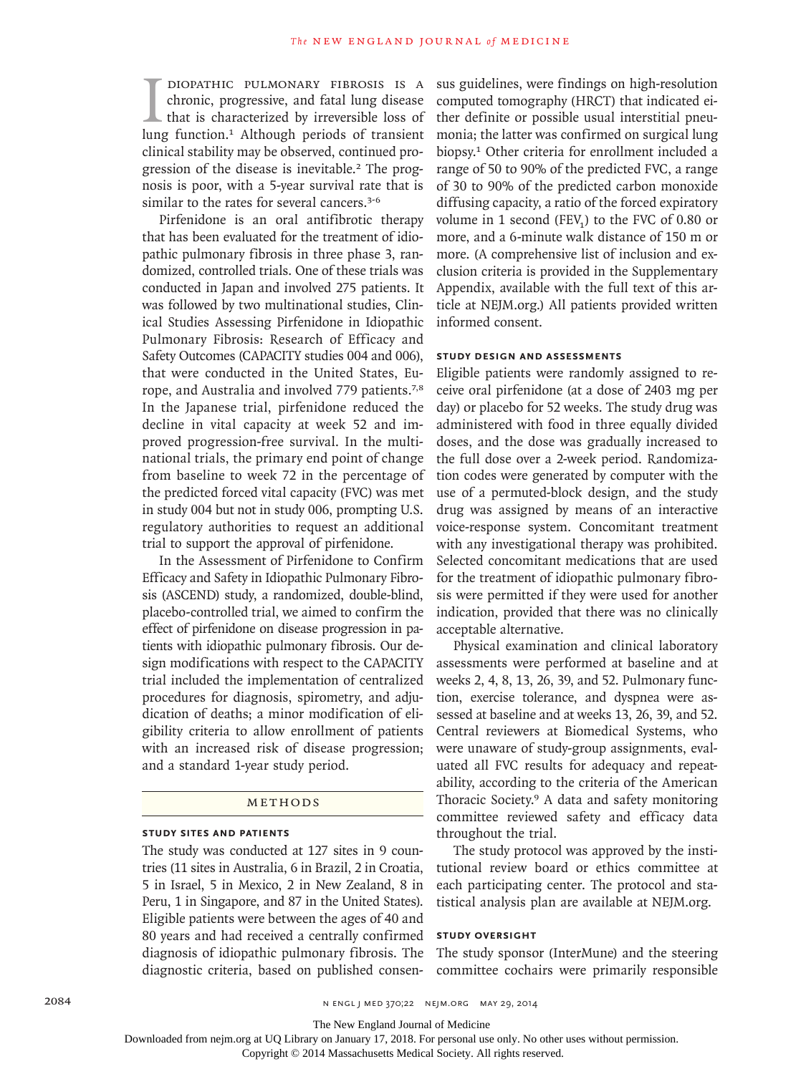I DIOPATHIC PULMONARY FIBROSIS IS A chronic, progressive, and fatal lung disease that is characterized by irreversible loss of lung function.<sup>1</sup> Although periods of transient diopathic pulmonary fibrosis is a chronic, progressive, and fatal lung disease that is characterized by irreversible loss of clinical stability may be observed, continued progression of the disease is inevitable.2 The prognosis is poor, with a 5-year survival rate that is similar to the rates for several cancers.<sup>3-6</sup>

Pirfenidone is an oral antifibrotic therapy that has been evaluated for the treatment of idiopathic pulmonary fibrosis in three phase 3, randomized, controlled trials. One of these trials was conducted in Japan and involved 275 patients. It was followed by two multinational studies, Clinical Studies Assessing Pirfenidone in Idiopathic Pulmonary Fibrosis: Research of Efficacy and Safety Outcomes (CAPACITY studies 004 and 006), that were conducted in the United States, Europe, and Australia and involved 779 patients.7,8 In the Japanese trial, pirfenidone reduced the decline in vital capacity at week 52 and improved progression-free survival. In the multinational trials, the primary end point of change from baseline to week 72 in the percentage of the predicted forced vital capacity (FVC) was met in study 004 but not in study 006, prompting U.S. regulatory authorities to request an additional trial to support the approval of pirfenidone.

In the Assessment of Pirfenidone to Confirm Efficacy and Safety in Idiopathic Pulmonary Fibrosis (ASCEND) study, a randomized, double-blind, placebo-controlled trial, we aimed to confirm the effect of pirfenidone on disease progression in patients with idiopathic pulmonary fibrosis. Our design modifications with respect to the CAPACITY trial included the implementation of centralized procedures for diagnosis, spirometry, and adjudication of deaths; a minor modification of eligibility criteria to allow enrollment of patients with an increased risk of disease progression; and a standard 1-year study period.

#### Methods

## **Study Sites and Patients**

The study was conducted at 127 sites in 9 countries (11 sites in Australia, 6 in Brazil, 2 in Croatia, 5 in Israel, 5 in Mexico, 2 in New Zealand, 8 in Peru, 1 in Singapore, and 87 in the United States). Eligible patients were between the ages of 40 and 80 years and had received a centrally confirmed diagnosis of idiopathic pulmonary fibrosis. The diagnostic criteria, based on published consensus guidelines, were findings on high-resolution computed tomography (HRCT) that indicated either definite or possible usual interstitial pneumonia; the latter was confirmed on surgical lung biopsy.1 Other criteria for enrollment included a range of 50 to 90% of the predicted FVC, a range of 30 to 90% of the predicted carbon monoxide diffusing capacity, a ratio of the forced expiratory volume in 1 second (FEV<sub>1</sub>) to the FVC of 0.80 or more, and a 6-minute walk distance of 150 m or more. (A comprehensive list of inclusion and exclusion criteria is provided in the Supplementary Appendix, available with the full text of this article at NEJM.org.) All patients provided written informed consent.

## **Study Design and Assessments**

Eligible patients were randomly assigned to receive oral pirfenidone (at a dose of 2403 mg per day) or placebo for 52 weeks. The study drug was administered with food in three equally divided doses, and the dose was gradually increased to the full dose over a 2-week period. Randomization codes were generated by computer with the use of a permuted-block design, and the study drug was assigned by means of an interactive voice-response system. Concomitant treatment with any investigational therapy was prohibited. Selected concomitant medications that are used for the treatment of idiopathic pulmonary fibrosis were permitted if they were used for another indication, provided that there was no clinically acceptable alternative.

Physical examination and clinical laboratory assessments were performed at baseline and at weeks 2, 4, 8, 13, 26, 39, and 52. Pulmonary function, exercise tolerance, and dyspnea were assessed at baseline and at weeks 13, 26, 39, and 52. Central reviewers at Biomedical Systems, who were unaware of study-group assignments, evaluated all FVC results for adequacy and repeatability, according to the criteria of the American Thoracic Society.9 A data and safety monitoring committee reviewed safety and efficacy data throughout the trial.

The study protocol was approved by the institutional review board or ethics committee at each participating center. The protocol and statistical analysis plan are available at NEJM.org.

#### **Study Oversight**

The study sponsor (InterMune) and the steering committee cochairs were primarily responsible

The New England Journal of Medicine

Downloaded from nejm.org at UQ Library on January 17, 2018. For personal use only. No other uses without permission.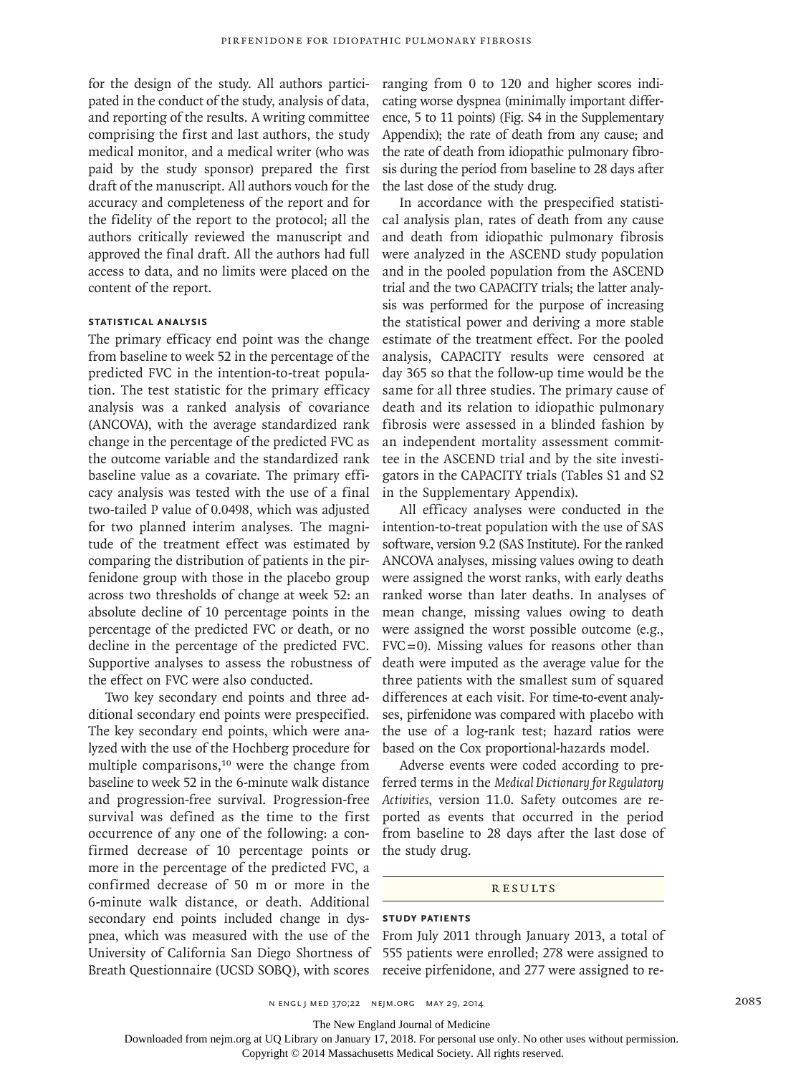for the design of the study. All authors participated in the conduct of the study, analysis of data, and reporting of the results. A writing committee comprising the first and last authors, the study medical monitor, and a medical writer (who was paid by the study sponsor) prepared the first draft of the manuscript. All authors vouch for the accuracy and completeness of the report and for the fidelity of the report to the protocol; all the authors critically reviewed the manuscript and approved the final draft. All the authors had full access to data, and no limits were placed on the content of the report.

#### **Statistical Analysis**

The primary efficacy end point was the change from baseline to week 52 in the percentage of the predicted FVC in the intention-to-treat population. The test statistic for the primary efficacy analysis was a ranked analysis of covariance (ANCOVA), with the average standardized rank change in the percentage of the predicted FVC as the outcome variable and the standardized rank baseline value as a covariate. The primary efficacy analysis was tested with the use of a final two-tailed P value of 0.0498, which was adjusted for two planned interim analyses. The magnitude of the treatment effect was estimated by comparing the distribution of patients in the pirfenidone group with those in the placebo group across two thresholds of change at week 52: an absolute decline of 10 percentage points in the percentage of the predicted FVC or death, or no decline in the percentage of the predicted FVC. Supportive analyses to assess the robustness of the effect on FVC were also conducted.

Two key secondary end points and three additional secondary end points were prespecified. The key secondary end points, which were analyzed with the use of the Hochberg procedure for multiple comparisons,<sup>10</sup> were the change from baseline to week 52 in the 6-minute walk distance and progression-free survival. Progression-free survival was defined as the time to the first occurrence of any one of the following: a confirmed decrease of 10 percentage points or more in the percentage of the predicted FVC, a confirmed decrease of 50 m or more in the 6-minute walk distance, or death. Additional secondary end points included change in dyspnea, which was measured with the use of the University of California San Diego Shortness of Breath Questionnaire (UCSD SOBQ), with scores

ranging from 0 to 120 and higher scores indicating worse dyspnea (minimally important difference, 5 to 11 points) (Fig. S4 in the Supplementary Appendix); the rate of death from any cause; and the rate of death from idiopathic pulmonary fibrosis during the period from baseline to 28 days after the last dose of the study drug.

In accordance with the prespecified statistical analysis plan, rates of death from any cause and death from idiopathic pulmonary fibrosis were analyzed in the ASCEND study population and in the pooled population from the ASCEND trial and the two CAPACITY trials; the latter analysis was performed for the purpose of increasing the statistical power and deriving a more stable estimate of the treatment effect. For the pooled analysis, CAPACITY results were censored at day 365 so that the follow-up time would be the same for all three studies. The primary cause of death and its relation to idiopathic pulmonary fibrosis were assessed in a blinded fashion by an independent mortality assessment committee in the ASCEND trial and by the site investigators in the CAPACITY trials (Tables S1 and S2 in the Supplementary Appendix).

All efficacy analyses were conducted in the intention-to-treat population with the use of SAS software, version 9.2 (SAS Institute). For the ranked ANCOVA analyses, missing values owing to death were assigned the worst ranks, with early deaths ranked worse than later deaths. In analyses of mean change, missing values owing to death were assigned the worst possible outcome (e.g., FVC=0). Missing values for reasons other than death were imputed as the average value for the three patients with the smallest sum of squared differences at each visit. For time-to-event analyses, pirfenidone was compared with placebo with the use of a log-rank test; hazard ratios were based on the Cox proportional-hazards model.

Adverse events were coded according to preferred terms in the *Medical Dictionary for Regulatory Activities*, version 11.0. Safety outcomes are reported as events that occurred in the period from baseline to 28 days after the last dose of the study drug.

### **RESULTS**

### **Study Patients**

From July 2011 through January 2013, a total of 555 patients were enrolled; 278 were assigned to receive pirfenidone, and 277 were assigned to re-

The New England Journal of Medicine

Downloaded from nejm.org at UQ Library on January 17, 2018. For personal use only. No other uses without permission.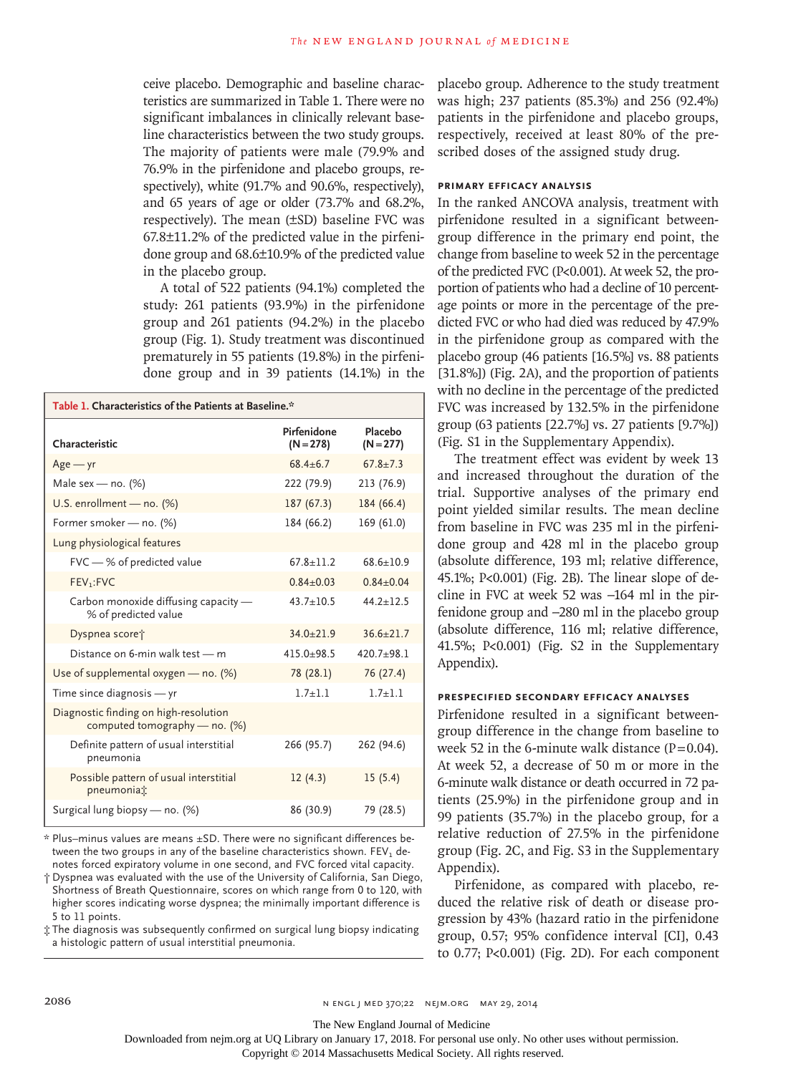ceive placebo. Demographic and baseline characteristics are summarized in Table 1. There were no significant imbalances in clinically relevant baseline characteristics between the two study groups. The majority of patients were male (79.9% and 76.9% in the pirfenidone and placebo groups, respectively), white (91.7% and 90.6%, respectively), and 65 years of age or older (73.7% and 68.2%, respectively). The mean (±SD) baseline FVC was 67.8±11.2% of the predicted value in the pirfenidone group and 68.6±10.9% of the predicted value in the placebo group.

A total of 522 patients (94.1%) completed the study: 261 patients (93.9%) in the pirfenidone group and 261 patients (94.2%) in the placebo group (Fig. 1). Study treatment was discontinued prematurely in 55 patients (19.8%) in the pirfenidone group and in 39 patients (14.1%) in the

| Table 1. Characteristics of the Patients at Baseline.*                 |                            |                        |  |  |
|------------------------------------------------------------------------|----------------------------|------------------------|--|--|
| Characteristic                                                         | Pirfenidone<br>$(N = 278)$ | Placebo<br>$(N = 277)$ |  |  |
| $Age - yr$                                                             | $68.4 + 6.7$               | $67.8 + 7.3$           |  |  |
| Male sex - no. $(%)$                                                   | 222 (79.9)                 | 213 (76.9)             |  |  |
| U.S. enrollment - no. $(\%)$                                           | 187(67.3)                  | 184 (66.4)             |  |  |
| Former smoker - no. (%)                                                | 184 (66.2)                 | 169 (61.0)             |  |  |
| Lung physiological features                                            |                            |                        |  |  |
| FVC - % of predicted value                                             | $67.8 + 11.2$              | $68.6 \pm 10.9$        |  |  |
| FEV <sub>1</sub> :FVC                                                  | $0.84 + 0.03$              | $0.84 + 0.04$          |  |  |
| Carbon monoxide diffusing capacity -<br>% of predicted value           | $43.7 + 10.5$              | $44.2 + 12.5$          |  |  |
| Dyspnea score <sup>+</sup>                                             | $34.0 + 21.9$              | $36.6 + 21.7$          |  |  |
| Distance on 6-min walk test - m                                        | $415.0+98.5$               | $420.7 + 98.1$         |  |  |
| Use of supplemental oxygen - no. (%)                                   | 78 (28.1)                  | 76 (27.4)              |  |  |
| Time since diagnosis $-$ yr                                            | $1.7 + 1.1$                | $1.7 + 1.1$            |  |  |
| Diagnostic finding on high-resolution<br>computed tomography - no. (%) |                            |                        |  |  |
| Definite pattern of usual interstitial<br>pneumonia                    | 266 (95.7)                 | 262 (94.6)             |  |  |
| Possible pattern of usual interstitial<br>pneumoniat                   | 12(4.3)                    | 15(5.4)                |  |  |
| Surgical lung biopsy - no. (%)                                         | 86 (30.9)                  | 79 (28.5)              |  |  |

\* Plus–minus values are means ±SD. There were no significant differences between the two groups in any of the baseline characteristics shown.  $FEV<sub>1</sub>$  denotes forced expiratory volume in one second, and FVC forced vital capacity.

† Dyspnea was evaluated with the use of the University of California, San Diego, Shortness of Breath Questionnaire, scores on which range from 0 to 120, with higher scores indicating worse dyspnea; the minimally important difference is 5 to 11 points.

‡ The diagnosis was subsequently confirmed on surgical lung biopsy indicating a histologic pattern of usual interstitial pneumonia.

placebo group. Adherence to the study treatment was high; 237 patients (85.3%) and 256 (92.4%) patients in the pirfenidone and placebo groups, respectively, received at least 80% of the prescribed doses of the assigned study drug.

### **Primary Efficacy Analysis**

In the ranked ANCOVA analysis, treatment with pirfenidone resulted in a significant betweengroup difference in the primary end point, the change from baseline to week 52 in the percentage of the predicted FVC (P<0.001). At week 52, the proportion of patients who had a decline of 10 percentage points or more in the percentage of the predicted FVC or who had died was reduced by 47.9% in the pirfenidone group as compared with the placebo group (46 patients [16.5%] vs. 88 patients [31.8%]) (Fig. 2A), and the proportion of patients with no decline in the percentage of the predicted FVC was increased by 132.5% in the pirfenidone group (63 patients [22.7%] vs. 27 patients [9.7%]) (Fig. S1 in the Supplementary Appendix).

The treatment effect was evident by week 13 and increased throughout the duration of the trial. Supportive analyses of the primary end point yielded similar results. The mean decline from baseline in FVC was 235 ml in the pirfenidone group and 428 ml in the placebo group (absolute difference, 193 ml; relative difference, 45.1%; P<0.001) (Fig. 2B). The linear slope of decline in FVC at week 52 was −164 ml in the pirfenidone group and −280 ml in the placebo group (absolute difference, 116 ml; relative difference, 41.5%; P<0.001) (Fig. S2 in the Supplementary Appendix).

# **Prespecified Secondary Efficacy Analyses**

Pirfenidone resulted in a significant betweengroup difference in the change from baseline to week 52 in the 6-minute walk distance  $(P=0.04)$ . At week 52, a decrease of 50 m or more in the 6-minute walk distance or death occurred in 72 patients (25.9%) in the pirfenidone group and in 99 patients (35.7%) in the placebo group, for a relative reduction of 27.5% in the pirfenidone group (Fig. 2C, and Fig. S3 in the Supplementary Appendix).

Pirfenidone, as compared with placebo, reduced the relative risk of death or disease progression by 43% (hazard ratio in the pirfenidone group, 0.57; 95% confidence interval [CI], 0.43 to 0.77; P<0.001) (Fig. 2D). For each component

The New England Journal of Medicine

Downloaded from nejm.org at UQ Library on January 17, 2018. For personal use only. No other uses without permission.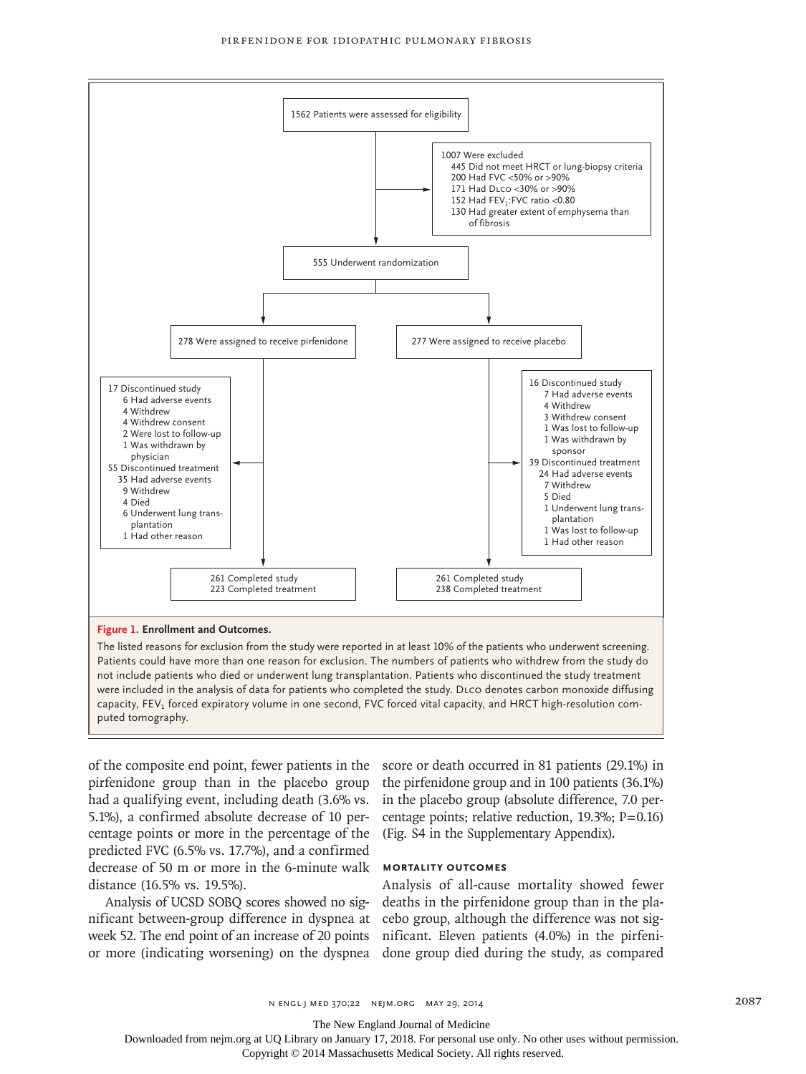

puted tomography.

of the composite end point, fewer patients in the score or death occurred in 81 patients (29.1%) in pirfenidone group than in the placebo group had a qualifying event, including death (3.6% vs. 5.1%), a confirmed absolute decrease of 10 percentage points or more in the percentage of the predicted FVC (6.5% vs. 17.7%), and a confirmed decrease of 50 m or more in the 6-minute walk distance (16.5% vs. 19.5%).

Analysis of UCSD SOBQ scores showed no significant between-group difference in dyspnea at week 52. The end point of an increase of 20 points or more (indicating worsening) on the dyspnea

the pirfenidone group and in 100 patients (36.1%) in the placebo group (absolute difference, 7.0 percentage points; relative reduction,  $19.3\%$ ; P=0.16) (Fig. S4 in the Supplementary Appendix).

## **Mortality Outcomes**

Analysis of all-cause mortality showed fewer deaths in the pirfenidone group than in the placebo group, although the difference was not significant. Eleven patients (4.0%) in the pirfenidone group died during the study, as compared

The New England Journal of Medicine

Downloaded from nejm.org at UQ Library on January 17, 2018. For personal use only. No other uses without permission.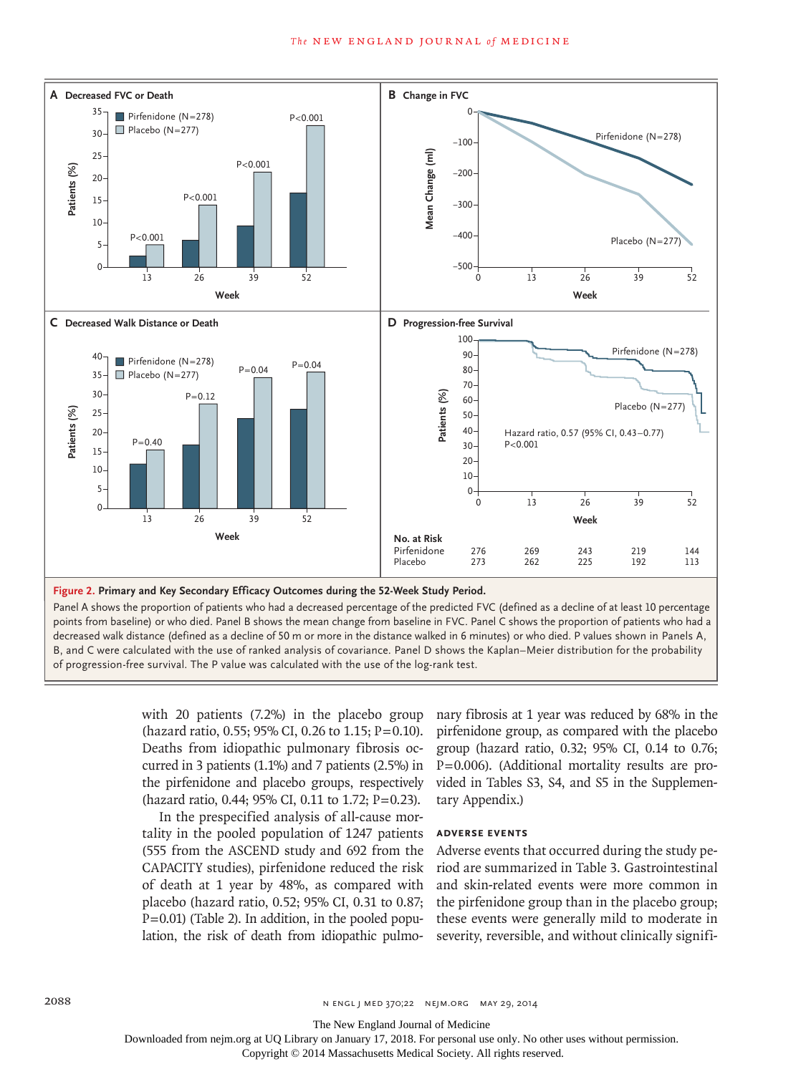#### **The NEW ENGLAND JOURNAL of MEDICINE**



Panel A shows the proportion of patients who had a decreased percentage of the predicted FVC (defined as a decline of at least 10 percentage points from baseline) or who died. Panel B shows the mean change from baseline in FVC. Panel C shows the proportion of patients who had a decreased walk distance (defined as a decline of 50 m or more in the distance walked in 6 minutes) or who died. P values shown in Panels A, B, and C were calculated with the use of ranked analysis of covariance. Panel D shows the Kaplan–Meier distribution for the probability of progression-free survival. The P value was calculated with the use of the log-rank test.

> with 20 patients (7.2%) in the placebo group (hazard ratio, 0.55; 95% CI, 0.26 to 1.15; P=0.10). Deaths from idiopathic pulmonary fibrosis occurred in 3 patients (1.1%) and 7 patients (2.5%) in the pirfenidone and placebo groups, respectively (hazard ratio, 0.44; 95% CI, 0.11 to 1.72;  $P=0.23$ ).

> In the prespecified analysis of all-cause mortality in the pooled population of 1247 patients (555 from the ASCEND study and 692 from the CAPACITY studies), pirfenidone reduced the risk of death at 1 year by 48%, as compared with placebo (hazard ratio, 0.52; 95% CI, 0.31 to 0.87;  $P = 0.01$ ) (Table 2). In addition, in the pooled population, the risk of death from idiopathic pulmo

nary fibrosis at 1 year was reduced by 68% in the pirfenidone group, as compared with the placebo group (hazard ratio, 0.32; 95% CI, 0.14 to 0.76;  $P = 0.006$ ). (Additional mortality results are provided in Tables S3, S4, and S5 in the Supplementary Appendix.)

#### **Adverse Events**

Adverse events that occurred during the study period are summarized in Table 3. Gastrointestinal and skin-related events were more common in the pirfenidone group than in the placebo group; these events were generally mild to moderate in severity, reversible, and without clinically signifi-

The New England Journal of Medicine

Downloaded from nejm.org at UQ Library on January 17, 2018. For personal use only. No other uses without permission.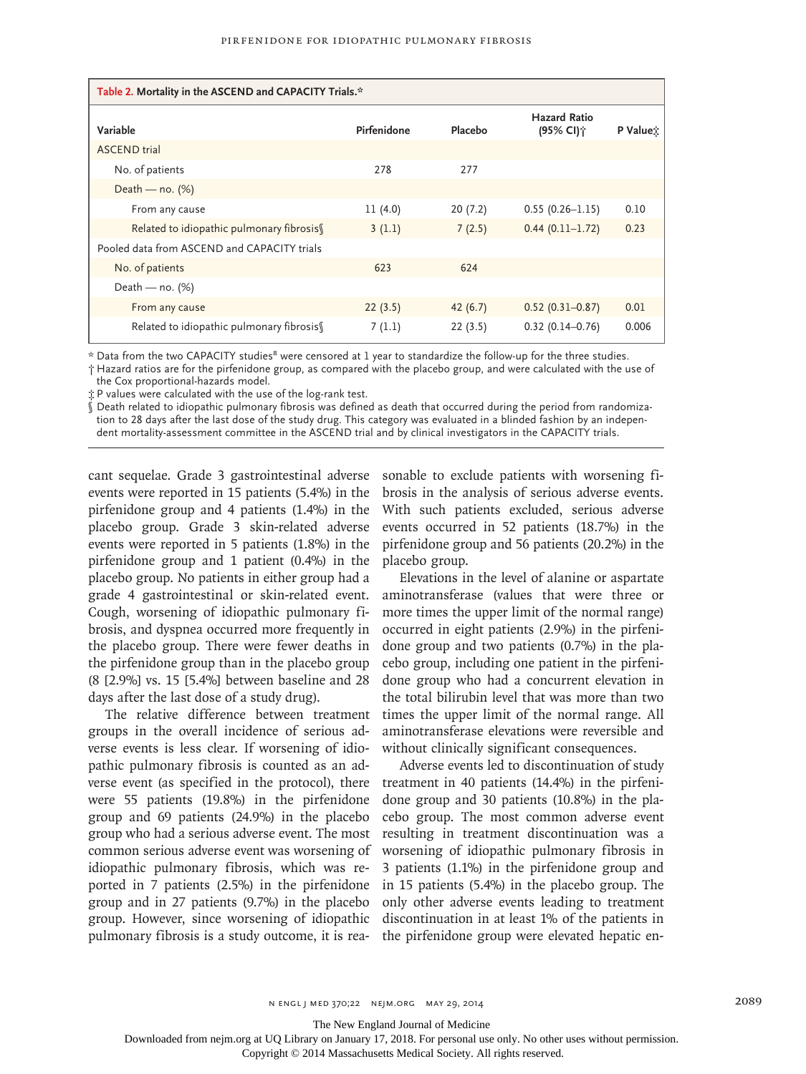| Table 2. Mortality in the ASCEND and CAPACITY Trials.* |             |         |                                              |          |  |
|--------------------------------------------------------|-------------|---------|----------------------------------------------|----------|--|
| Variable                                               | Pirfenidone | Placebo | <b>Hazard Ratio</b><br>(95% CI) <sup>+</sup> | P Value: |  |
| <b>ASCEND</b> trial                                    |             |         |                                              |          |  |
| No. of patients                                        | 278         | 277     |                                              |          |  |
| Death — $no.$ (%)                                      |             |         |                                              |          |  |
| From any cause                                         | 11(4.0)     | 20(7.2) | $0.55(0.26 - 1.15)$                          | 0.10     |  |
| Related to idiopathic pulmonary fibrosis               | 3(1.1)      | 7(2.5)  | $0.44(0.11-1.72)$                            | 0.23     |  |
| Pooled data from ASCEND and CAPACITY trials            |             |         |                                              |          |  |
| No. of patients                                        | 623         | 624     |                                              |          |  |
| Death — $no.$ (%)                                      |             |         |                                              |          |  |
| From any cause                                         | 22(3.5)     | 42(6.7) | $0.52(0.31 - 0.87)$                          | 0.01     |  |
| Related to idiopathic pulmonary fibrosis               | 7(1.1)      | 22(3.5) | $0.32(0.14 - 0.76)$                          | 0.006    |  |

\* Data from the two CAPACITY studies<sup>8</sup> were censored at 1 year to standardize the follow-up for the three studies. † Hazard ratios are for the pirfenidone group, as compared with the placebo group, and were calculated with the use of

the Cox proportional-hazards model.

‡ P values were calculated with the use of the log-rank test.

Death related to idiopathic pulmonary fibrosis was defined as death that occurred during the period from randomization to 28 days after the last dose of the study drug. This category was evaluated in a blinded fashion by an independent mortality-assessment committee in the ASCEND trial and by clinical investigators in the CAPACITY trials.

cant sequelae. Grade 3 gastrointestinal adverse events were reported in 15 patients (5.4%) in the pirfenidone group and 4 patients (1.4%) in the placebo group. Grade 3 skin-related adverse events were reported in 5 patients (1.8%) in the pirfenidone group and 1 patient (0.4%) in the placebo group. No patients in either group had a grade 4 gastrointestinal or skin-related event. Cough, worsening of idiopathic pulmonary fibrosis, and dyspnea occurred more frequently in the placebo group. There were fewer deaths in the pirfenidone group than in the placebo group (8 [2.9%] vs. 15 [5.4%] between baseline and 28 days after the last dose of a study drug).

The relative difference between treatment groups in the overall incidence of serious adverse events is less clear. If worsening of idiopathic pulmonary fibrosis is counted as an adverse event (as specified in the protocol), there were 55 patients (19.8%) in the pirfenidone group and 69 patients (24.9%) in the placebo group who had a serious adverse event. The most common serious adverse event was worsening of idiopathic pulmonary fibrosis, which was reported in 7 patients (2.5%) in the pirfenidone group and in 27 patients (9.7%) in the placebo group. However, since worsening of idiopathic pulmonary fibrosis is a study outcome, it is rea-the pirfenidone group were elevated hepatic en-

sonable to exclude patients with worsening fibrosis in the analysis of serious adverse events. With such patients excluded, serious adverse events occurred in 52 patients (18.7%) in the pirfenidone group and 56 patients (20.2%) in the placebo group.

Elevations in the level of alanine or aspartate aminotransferase (values that were three or more times the upper limit of the normal range) occurred in eight patients (2.9%) in the pirfenidone group and two patients (0.7%) in the placebo group, including one patient in the pirfenidone group who had a concurrent elevation in the total bilirubin level that was more than two times the upper limit of the normal range. All aminotransferase elevations were reversible and without clinically significant consequences.

Adverse events led to discontinuation of study treatment in 40 patients (14.4%) in the pirfenidone group and 30 patients (10.8%) in the placebo group. The most common adverse event resulting in treatment discontinuation was a worsening of idiopathic pulmonary fibrosis in 3 patients (1.1%) in the pirfenidone group and in 15 patients (5.4%) in the placebo group. The only other adverse events leading to treatment discontinuation in at least 1% of the patients in

The New England Journal of Medicine

Downloaded from nejm.org at UQ Library on January 17, 2018. For personal use only. No other uses without permission.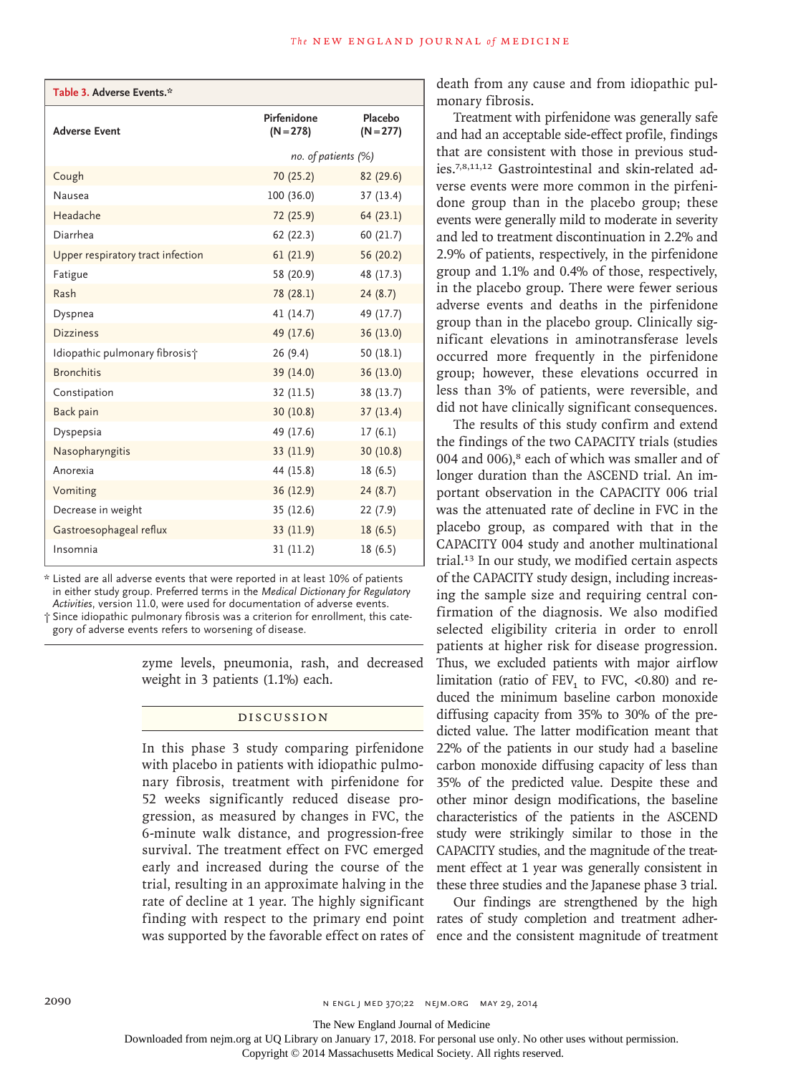| Table 3. Adverse Events.*         |                            |                        |
|-----------------------------------|----------------------------|------------------------|
| <b>Adverse Event</b>              | Pirfenidone<br>$(N = 278)$ | Placebo<br>$(N = 277)$ |
|                                   | no. of patients (%)        |                        |
| Cough                             | 70 (25.2)                  | 82 (29.6)              |
| Nausea                            | 100(36.0)                  | 37(13.4)               |
| Headache                          | 72 (25.9)                  | 64(23.1)               |
| Diarrhea                          | 62(22.3)                   | 60 (21.7)              |
| Upper respiratory tract infection | 61(21.9)                   | 56 (20.2)              |
| Fatigue                           | 58 (20.9)                  | 48 (17.3)              |
| Rash                              | 78 (28.1)                  | 24(8.7)                |
| Dyspnea                           | 41 (14.7)                  | 49 (17.7)              |
| <b>Dizziness</b>                  | 49 (17.6)                  | 36 (13.0)              |
| Idiopathic pulmonary fibrosist    | 26(9.4)                    | 50(18.1)               |
| <b>Bronchitis</b>                 | 39 (14.0)                  | 36 (13.0)              |
| Constipation                      | 32 (11.5)                  | 38 (13.7)              |
| Back pain                         | 30(10.8)                   | 37(13.4)               |
| Dyspepsia                         | 49 (17.6)                  | 17(6.1)                |
| Nasopharyngitis                   | 33 (11.9)                  | 30 (10.8)              |
| Anorexia                          | 44 (15.8)                  | 18(6.5)                |
| Vomiting                          | 36(12.9)                   | 24(8.7)                |
| Decrease in weight                | 35(12.6)                   | 22(7.9)                |
| Gastroesophageal reflux           | 33(11.9)                   | 18(6.5)                |
| Insomnia                          | 31(11.2)                   | 18(6.5)                |

\* Listed are all adverse events that were reported in at least 10% of patients in either study group. Preferred terms in the *Medical Dictionary for Regulatory Activities*, version 11.0, were used for documentation of adverse events. † Since idiopathic pulmonary fibrosis was a criterion for enrollment, this cate-

gory of adverse events refers to worsening of disease.

zyme levels, pneumonia, rash, and decreased weight in 3 patients (1.1%) each.

# Discussion

In this phase 3 study comparing pirfenidone with placebo in patients with idiopathic pulmonary fibrosis, treatment with pirfenidone for 52 weeks significantly reduced disease progression, as measured by changes in FVC, the 6-minute walk distance, and progression-free survival. The treatment effect on FVC emerged early and increased during the course of the trial, resulting in an approximate halving in the rate of decline at 1 year. The highly significant finding with respect to the primary end point death from any cause and from idiopathic pulmonary fibrosis.

Treatment with pirfenidone was generally safe and had an acceptable side-effect profile, findings that are consistent with those in previous studies.7,8,11,12 Gastrointestinal and skin-related adverse events were more common in the pirfenidone group than in the placebo group; these events were generally mild to moderate in severity and led to treatment discontinuation in 2.2% and 2.9% of patients, respectively, in the pirfenidone group and 1.1% and 0.4% of those, respectively, in the placebo group. There were fewer serious adverse events and deaths in the pirfenidone group than in the placebo group. Clinically significant elevations in aminotransferase levels occurred more frequently in the pirfenidone group; however, these elevations occurred in less than 3% of patients, were reversible, and did not have clinically significant consequences.

The results of this study confirm and extend the findings of the two CAPACITY trials (studies 004 and 006),<sup>8</sup> each of which was smaller and of longer duration than the ASCEND trial. An important observation in the CAPACITY 006 trial was the attenuated rate of decline in FVC in the placebo group, as compared with that in the CAPACITY 004 study and another multinational trial.13 In our study, we modified certain aspects of the CAPACITY study design, including increasing the sample size and requiring central confirmation of the diagnosis. We also modified selected eligibility criteria in order to enroll patients at higher risk for disease progression. Thus, we excluded patients with major airflow limitation (ratio of FEV<sub>1</sub> to FVC, <0.80) and reduced the minimum baseline carbon monoxide diffusing capacity from 35% to 30% of the predicted value. The latter modification meant that 22% of the patients in our study had a baseline carbon monoxide diffusing capacity of less than 35% of the predicted value. Despite these and other minor design modifications, the baseline characteristics of the patients in the ASCEND study were strikingly similar to those in the CAPACITY studies, and the magnitude of the treatment effect at 1 year was generally consistent in these three studies and the Japanese phase 3 trial.

was supported by the favorable effect on rates of ence and the consistent magnitude of treatment Our findings are strengthened by the high rates of study completion and treatment adher-

The New England Journal of Medicine

Downloaded from nejm.org at UQ Library on January 17, 2018. For personal use only. No other uses without permission.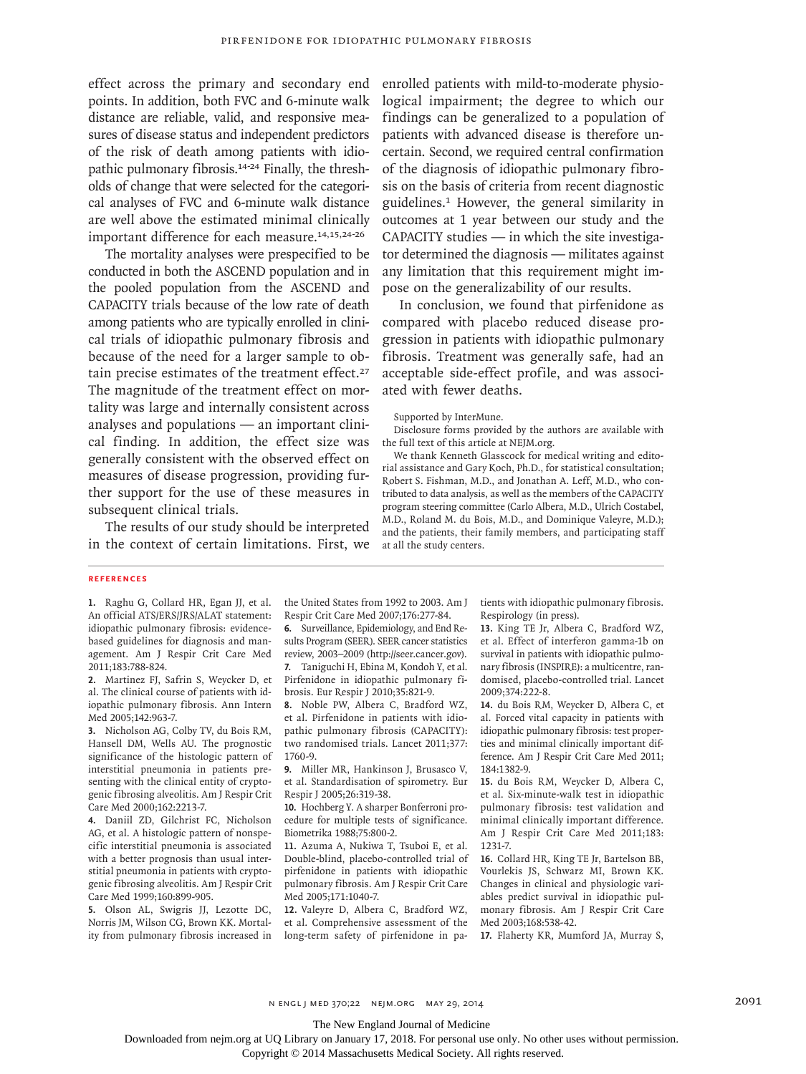effect across the primary and secondary end points. In addition, both FVC and 6-minute walk distance are reliable, valid, and responsive measures of disease status and independent predictors of the risk of death among patients with idiopathic pulmonary fibrosis.14-24 Finally, the thresholds of change that were selected for the categorical analyses of FVC and 6-minute walk distance are well above the estimated minimal clinically important difference for each measure.14,15,24-26

The mortality analyses were prespecified to be conducted in both the ASCEND population and in the pooled population from the ASCEND and CAPACITY trials because of the low rate of death among patients who are typically enrolled in clinical trials of idiopathic pulmonary fibrosis and because of the need for a larger sample to obtain precise estimates of the treatment effect.<sup>27</sup> The magnitude of the treatment effect on mortality was large and internally consistent across analyses and populations — an important clinical finding. In addition, the effect size was generally consistent with the observed effect on measures of disease progression, providing further support for the use of these measures in subsequent clinical trials.

The results of our study should be interpreted in the context of certain limitations. First, we enrolled patients with mild-to-moderate physiological impairment; the degree to which our findings can be generalized to a population of patients with advanced disease is therefore uncertain. Second, we required central confirmation of the diagnosis of idiopathic pulmonary fibrosis on the basis of criteria from recent diagnostic guidelines.1 However, the general similarity in outcomes at 1 year between our study and the CAPACITY studies — in which the site investigator determined the diagnosis — militates against any limitation that this requirement might impose on the generalizability of our results.

In conclusion, we found that pirfenidone as compared with placebo reduced disease progression in patients with idiopathic pulmonary fibrosis. Treatment was generally safe, had an acceptable side-effect profile, and was associated with fewer deaths.

Disclosure forms provided by the authors are available with the full text of this article at NEJM.org.

We thank Kenneth Glasscock for medical writing and editorial assistance and Gary Koch, Ph.D., for statistical consultation; Robert S. Fishman, M.D., and Jonathan A. Leff, M.D., who contributed to data analysis, as well as the members of the CAPACITY program steering committee (Carlo Albera, M.D., Ulrich Costabel, M.D., Roland M. du Bois, M.D., and Dominique Valeyre, M.D.); and the patients, their family members, and participating staff at all the study centers.

#### **References**

**2.** Martinez FJ, Safrin S, Weycker D, et al. The clinical course of patients with idiopathic pulmonary fibrosis. Ann Intern Med 2005;142:963-7.

**3.** Nicholson AG, Colby TV, du Bois RM, Hansell DM, Wells AU. The prognostic significance of the histologic pattern of interstitial pneumonia in patients presenting with the clinical entity of cryptogenic fibrosing alveolitis. Am J Respir Crit Care Med 2000;162:2213-7.

**4.** Daniil ZD, Gilchrist FC, Nicholson AG, et al. A histologic pattern of nonspecific interstitial pneumonia is associated with a better prognosis than usual interstitial pneumonia in patients with cryptogenic fibrosing alveolitis. Am J Respir Crit Care Med 1999;160:899-905.

**5.** Olson AL, Swigris JJ, Lezotte DC, Norris JM, Wilson CG, Brown KK. Mortality from pulmonary fibrosis increased in the United States from 1992 to 2003. Am J Respir Crit Care Med 2007;176:277-84.

**6.** Surveillance, Epidemiology, and End Results Program (SEER). SEER cancer statistics review, 2003–2009 (http://seer.cancer.gov). **7.** Taniguchi H, Ebina M, Kondoh Y, et al. Pirfenidone in idiopathic pulmonary fibrosis. Eur Respir J 2010;35:821-9.

**8.** Noble PW, Albera C, Bradford WZ, et al. Pirfenidone in patients with idiopathic pulmonary fibrosis (CAPACITY): two randomised trials. Lancet 2011;377: 1760-9.

**9.** Miller MR, Hankinson J, Brusasco V, et al. Standardisation of spirometry. Eur Respir J 2005;26:319-38.

**10.** Hochberg Y. A sharper Bonferroni procedure for multiple tests of significance. Biometrika 1988;75:800-2.

**11.** Azuma A, Nukiwa T, Tsuboi E, et al. Double-blind, placebo-controlled trial of pirfenidone in patients with idiopathic pulmonary fibrosis. Am J Respir Crit Care Med 2005;171:1040-7.

**12.** Valeyre D, Albera C, Bradford WZ, et al. Comprehensive assessment of the long-term safety of pirfenidone in pa-

tients with idiopathic pulmonary fibrosis. Respirology (in press).

**13.** King TE Jr, Albera C, Bradford WZ, et al. Effect of interferon gamma-1b on survival in patients with idiopathic pulmonary fibrosis (INSPIRE): a multicentre, randomised, placebo-controlled trial. Lancet 2009;374:222-8.

**14.** du Bois RM, Weycker D, Albera C, et al. Forced vital capacity in patients with idiopathic pulmonary fibrosis: test properties and minimal clinically important difference. Am J Respir Crit Care Med 2011; 184:1382-9.

**15.** du Bois RM, Weycker D, Albera C, et al. Six-minute-walk test in idiopathic pulmonary fibrosis: test validation and minimal clinically important difference. Am J Respir Crit Care Med 2011;183: 1231-7.

**16.** Collard HR, King TE Jr, Bartelson BB, Vourlekis JS, Schwarz MI, Brown KK. Changes in clinical and physiologic variables predict survival in idiopathic pulmonary fibrosis. Am J Respir Crit Care Med 2003;168:538-42.

**17.** Flaherty KR, Mumford JA, Murray S,

n engl j med 370;22 nejm.org may 29, 2014 2091

The New England Journal of Medicine

Downloaded from nejm.org at UQ Library on January 17, 2018. For personal use only. No other uses without permission.

Supported by InterMune.

**<sup>1.</sup>** Raghu G, Collard HR, Egan JJ, et al. An official ATS/ERS/JRS/ALAT statement: idiopathic pulmonary fibrosis: evidencebased guidelines for diagnosis and management. Am J Respir Crit Care Med 2011;183:788-824.